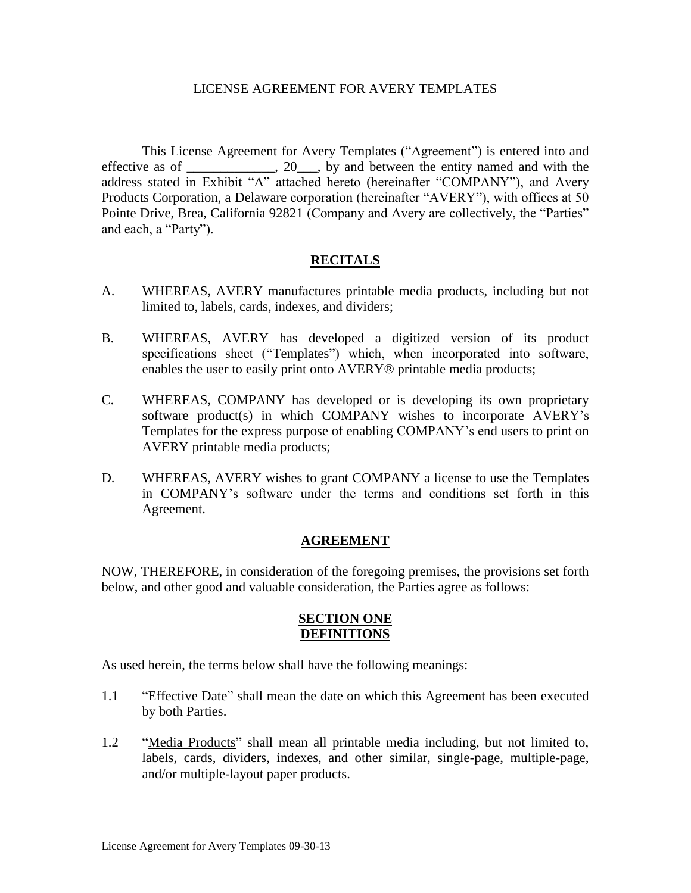#### LICENSE AGREEMENT FOR AVERY TEMPLATES

This License Agreement for Avery Templates ("Agreement") is entered into and effective as of \_\_\_\_\_\_\_\_\_, 20 \_\_, by and between the entity named and with the address stated in Exhibit "A" attached hereto (hereinafter "COMPANY"), and Avery Products Corporation, a Delaware corporation (hereinafter "AVERY"), with offices at 50 Pointe Drive, Brea, California 92821 (Company and Avery are collectively, the "Parties" and each, a "Party").

## **RECITALS**

- A. WHEREAS, AVERY manufactures printable media products, including but not limited to, labels, cards, indexes, and dividers;
- B. WHEREAS, AVERY has developed a digitized version of its product specifications sheet ("Templates") which, when incorporated into software, enables the user to easily print onto AVERY<sup>®</sup> printable media products;
- C. WHEREAS, COMPANY has developed or is developing its own proprietary software product(s) in which COMPANY wishes to incorporate AVERY's Templates for the express purpose of enabling COMPANY's end users to print on AVERY printable media products;
- D. WHEREAS, AVERY wishes to grant COMPANY a license to use the Templates in COMPANY's software under the terms and conditions set forth in this Agreement.

## **AGREEMENT**

NOW, THEREFORE, in consideration of the foregoing premises, the provisions set forth below, and other good and valuable consideration, the Parties agree as follows:

## **SECTION ONE DEFINITIONS**

As used herein, the terms below shall have the following meanings:

- 1.1 "Effective Date" shall mean the date on which this Agreement has been executed by both Parties.
- 1.2 "Media Products" shall mean all printable media including, but not limited to, labels, cards, dividers, indexes, and other similar, single-page, multiple-page, and/or multiple-layout paper products.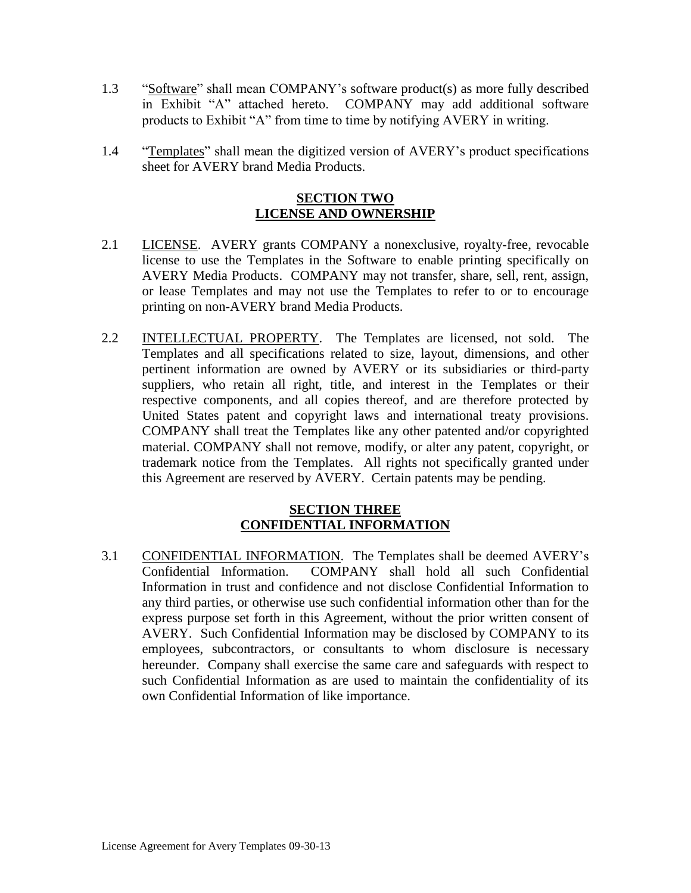- 1.3 "Software" shall mean COMPANY's software product(s) as more fully described in Exhibit "A" attached hereto. COMPANY may add additional software products to Exhibit "A" from time to time by notifying AVERY in writing.
- 1.4 "Templates" shall mean the digitized version of AVERY's product specifications sheet for AVERY brand Media Products.

## **SECTION TWO LICENSE AND OWNERSHIP**

- 2.1 LICENSE. AVERY grants COMPANY a nonexclusive, royalty-free, revocable license to use the Templates in the Software to enable printing specifically on AVERY Media Products. COMPANY may not transfer, share, sell, rent, assign, or lease Templates and may not use the Templates to refer to or to encourage printing on non-AVERY brand Media Products.
- 2.2 INTELLECTUAL PROPERTY. The Templates are licensed, not sold. The Templates and all specifications related to size, layout, dimensions, and other pertinent information are owned by AVERY or its subsidiaries or third-party suppliers, who retain all right, title, and interest in the Templates or their respective components, and all copies thereof, and are therefore protected by United States patent and copyright laws and international treaty provisions. COMPANY shall treat the Templates like any other patented and/or copyrighted material. COMPANY shall not remove, modify, or alter any patent, copyright, or trademark notice from the Templates. All rights not specifically granted under this Agreement are reserved by AVERY. Certain patents may be pending.

## **SECTION THREE CONFIDENTIAL INFORMATION**

3.1 CONFIDENTIAL INFORMATION. The Templates shall be deemed AVERY's Confidential Information. COMPANY shall hold all such Confidential Information in trust and confidence and not disclose Confidential Information to any third parties, or otherwise use such confidential information other than for the express purpose set forth in this Agreement, without the prior written consent of AVERY. Such Confidential Information may be disclosed by COMPANY to its employees, subcontractors, or consultants to whom disclosure is necessary hereunder. Company shall exercise the same care and safeguards with respect to such Confidential Information as are used to maintain the confidentiality of its own Confidential Information of like importance.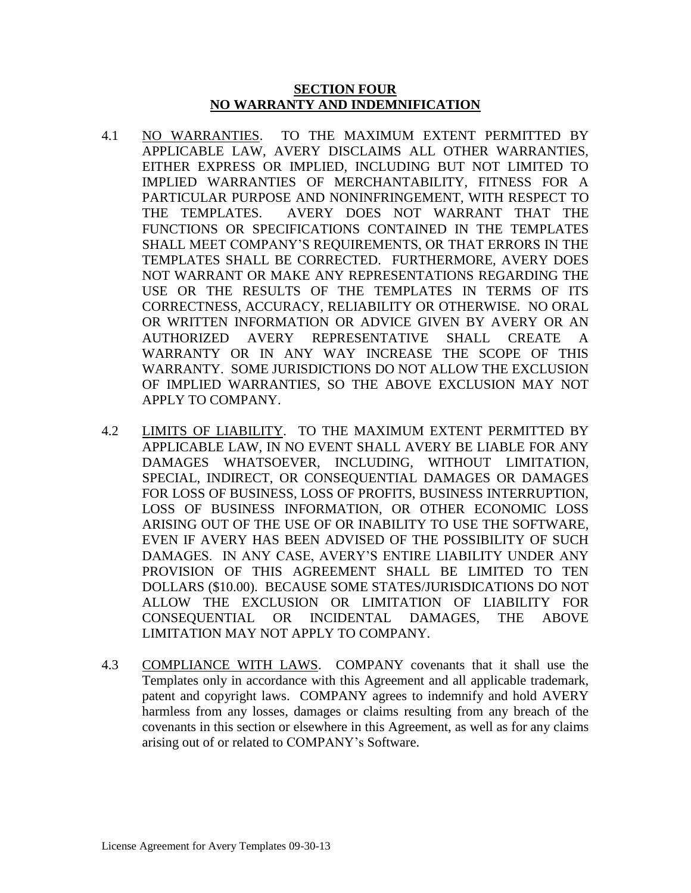## **SECTION FOUR NO WARRANTY AND INDEMNIFICATION**

- 4.1 NO WARRANTIES. TO THE MAXIMUM EXTENT PERMITTED BY APPLICABLE LAW, AVERY DISCLAIMS ALL OTHER WARRANTIES, EITHER EXPRESS OR IMPLIED, INCLUDING BUT NOT LIMITED TO IMPLIED WARRANTIES OF MERCHANTABILITY, FITNESS FOR A PARTICULAR PURPOSE AND NONINFRINGEMENT, WITH RESPECT TO THE TEMPLATES. AVERY DOES NOT WARRANT THAT THE FUNCTIONS OR SPECIFICATIONS CONTAINED IN THE TEMPLATES SHALL MEET COMPANY'S REQUIREMENTS, OR THAT ERRORS IN THE TEMPLATES SHALL BE CORRECTED. FURTHERMORE, AVERY DOES NOT WARRANT OR MAKE ANY REPRESENTATIONS REGARDING THE USE OR THE RESULTS OF THE TEMPLATES IN TERMS OF ITS CORRECTNESS, ACCURACY, RELIABILITY OR OTHERWISE. NO ORAL OR WRITTEN INFORMATION OR ADVICE GIVEN BY AVERY OR AN AUTHORIZED AVERY REPRESENTATIVE SHALL CREATE A WARRANTY OR IN ANY WAY INCREASE THE SCOPE OF THIS WARRANTY. SOME JURISDICTIONS DO NOT ALLOW THE EXCLUSION OF IMPLIED WARRANTIES, SO THE ABOVE EXCLUSION MAY NOT APPLY TO COMPANY.
- 4.2 LIMITS OF LIABILITY.TO THE MAXIMUM EXTENT PERMITTED BY APPLICABLE LAW, IN NO EVENT SHALL AVERY BE LIABLE FOR ANY DAMAGES WHATSOEVER, INCLUDING, WITHOUT LIMITATION, SPECIAL, INDIRECT, OR CONSEQUENTIAL DAMAGES OR DAMAGES FOR LOSS OF BUSINESS, LOSS OF PROFITS, BUSINESS INTERRUPTION, LOSS OF BUSINESS INFORMATION, OR OTHER ECONOMIC LOSS ARISING OUT OF THE USE OF OR INABILITY TO USE THE SOFTWARE, EVEN IF AVERY HAS BEEN ADVISED OF THE POSSIBILITY OF SUCH DAMAGES. IN ANY CASE, AVERY'S ENTIRE LIABILITY UNDER ANY PROVISION OF THIS AGREEMENT SHALL BE LIMITED TO TEN DOLLARS (\$10.00). BECAUSE SOME STATES/JURISDICATIONS DO NOT ALLOW THE EXCLUSION OR LIMITATION OF LIABILITY FOR CONSEQUENTIAL OR INCIDENTAL DAMAGES, THE ABOVE LIMITATION MAY NOT APPLY TO COMPANY.
- 4.3 COMPLIANCE WITH LAWS.COMPANY covenants that it shall use the Templates only in accordance with this Agreement and all applicable trademark, patent and copyright laws. COMPANY agrees to indemnify and hold AVERY harmless from any losses, damages or claims resulting from any breach of the covenants in this section or elsewhere in this Agreement, as well as for any claims arising out of or related to COMPANY's Software.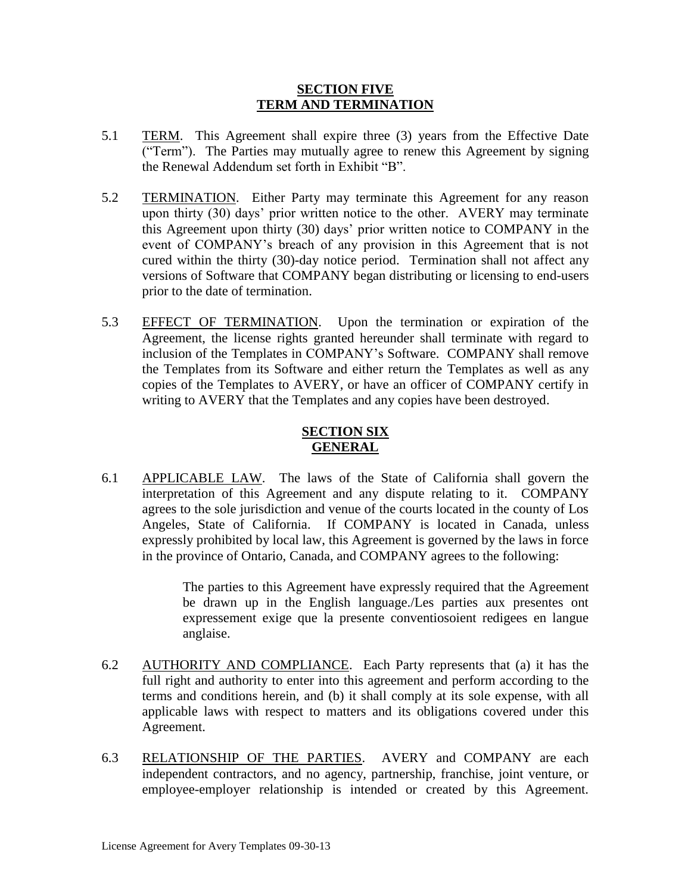## **SECTION FIVE TERM AND TERMINATION**

- 5.1 TERM. This Agreement shall expire three (3) years from the Effective Date ("Term"). The Parties may mutually agree to renew this Agreement by signing the Renewal Addendum set forth in Exhibit "B".
- 5.2 TERMINATION. Either Party may terminate this Agreement for any reason upon thirty (30) days' prior written notice to the other. AVERY may terminate this Agreement upon thirty (30) days' prior written notice to COMPANY in the event of COMPANY's breach of any provision in this Agreement that is not cured within the thirty (30)-day notice period. Termination shall not affect any versions of Software that COMPANY began distributing or licensing to end-users prior to the date of termination.
- 5.3 EFFECT OF TERMINATION. Upon the termination or expiration of the Agreement, the license rights granted hereunder shall terminate with regard to inclusion of the Templates in COMPANY's Software. COMPANY shall remove the Templates from its Software and either return the Templates as well as any copies of the Templates to AVERY, or have an officer of COMPANY certify in writing to AVERY that the Templates and any copies have been destroyed.

# **SECTION SIX GENERAL**

6.1 APPLICABLE LAW. The laws of the State of California shall govern the interpretation of this Agreement and any dispute relating to it. COMPANY agrees to the sole jurisdiction and venue of the courts located in the county of Los Angeles, State of California. If COMPANY is located in Canada, unless expressly prohibited by local law, this Agreement is governed by the laws in force in the province of Ontario, Canada, and COMPANY agrees to the following:

> The parties to this Agreement have expressly required that the Agreement be drawn up in the English language./Les parties aux presentes ont expressement exige que la presente conventiosoient redigees en langue anglaise.

- 6.2 AUTHORITY AND COMPLIANCE.Each Party represents that (a) it has the full right and authority to enter into this agreement and perform according to the terms and conditions herein, and (b) it shall comply at its sole expense, with all applicable laws with respect to matters and its obligations covered under this Agreement.
- 6.3 RELATIONSHIP OF THE PARTIES. AVERY and COMPANY are each independent contractors, and no agency, partnership, franchise, joint venture, or employee-employer relationship is intended or created by this Agreement.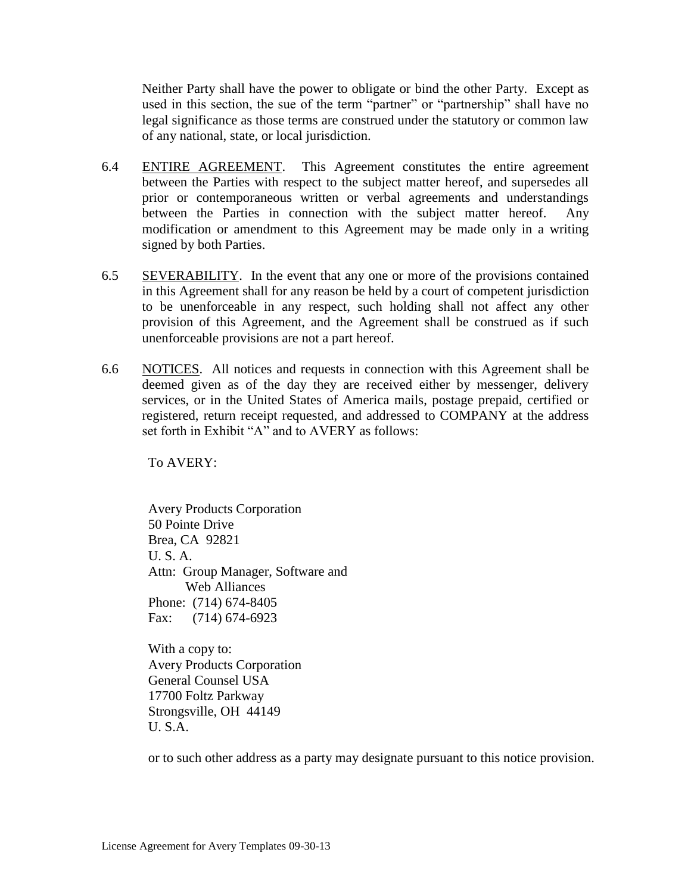Neither Party shall have the power to obligate or bind the other Party. Except as used in this section, the sue of the term "partner" or "partnership" shall have no legal significance as those terms are construed under the statutory or common law of any national, state, or local jurisdiction.

- 6.4 ENTIRE AGREEMENT. This Agreement constitutes the entire agreement between the Parties with respect to the subject matter hereof, and supersedes all prior or contemporaneous written or verbal agreements and understandings between the Parties in connection with the subject matter hereof. Any modification or amendment to this Agreement may be made only in a writing signed by both Parties.
- 6.5 SEVERABILITY. In the event that any one or more of the provisions contained in this Agreement shall for any reason be held by a court of competent jurisdiction to be unenforceable in any respect, such holding shall not affect any other provision of this Agreement, and the Agreement shall be construed as if such unenforceable provisions are not a part hereof.
- 6.6 NOTICES. All notices and requests in connection with this Agreement shall be deemed given as of the day they are received either by messenger, delivery services, or in the United States of America mails, postage prepaid, certified or registered, return receipt requested, and addressed to COMPANY at the address set forth in Exhibit "A" and to AVERY as follows:

To AVERY:

Avery Products Corporation 50 Pointe Drive Brea, CA 92821 U. S. A. Attn: Group Manager, Software and Web Alliances Phone: (714) 674-8405 Fax: (714) 674-6923

With a copy to: Avery Products Corporation General Counsel USA 17700 Foltz Parkway Strongsville, OH 44149 U. S.A.

or to such other address as a party may designate pursuant to this notice provision.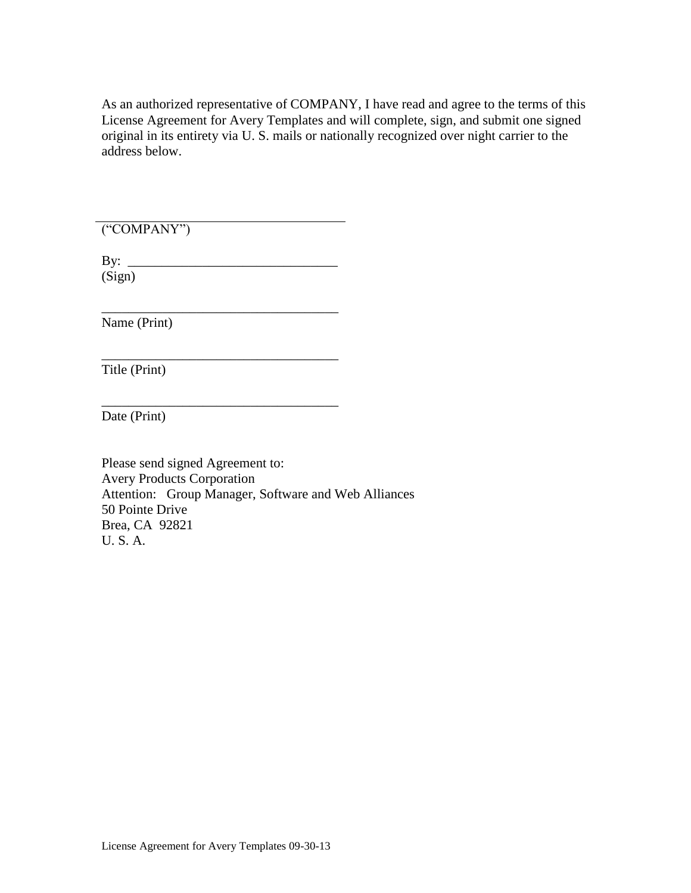As an authorized representative of COMPANY, I have read and agree to the terms of this License Agreement for Avery Templates and will complete, sign, and submit one signed original in its entirety via U. S. mails or nationally recognized over night carrier to the address below.

("COMPANY")

By:  $\frac{1}{\sqrt{2}}$ (Sign)

\_\_\_\_\_\_\_\_\_\_\_\_\_\_\_\_\_\_\_\_\_\_\_\_\_\_\_\_\_\_\_\_\_\_\_

\_\_\_\_\_\_\_\_\_\_\_\_\_\_\_\_\_\_\_\_\_\_\_\_\_\_\_\_\_\_\_\_\_\_\_

\_\_\_\_\_\_\_\_\_\_\_\_\_\_\_\_\_\_\_\_\_\_\_\_\_\_\_\_\_\_\_\_\_\_\_

Name (Print)

Title (Print)

Date (Print)

Please send signed Agreement to: Avery Products Corporation Attention: Group Manager, Software and Web Alliances 50 Pointe Drive Brea, CA 92821 U. S. A.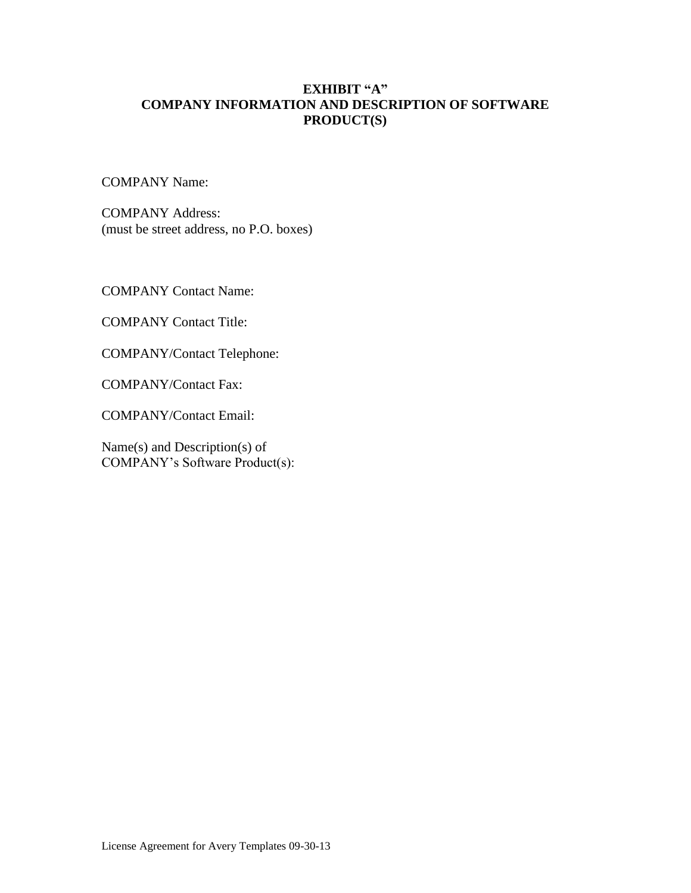# **EXHIBIT "A" COMPANY INFORMATION AND DESCRIPTION OF SOFTWARE PRODUCT(S)**

COMPANY Name:

COMPANY Address: (must be street address, no P.O. boxes)

COMPANY Contact Name:

COMPANY Contact Title:

COMPANY/Contact Telephone:

COMPANY/Contact Fax:

COMPANY/Contact Email:

Name(s) and Description(s) of COMPANY's Software Product(s):